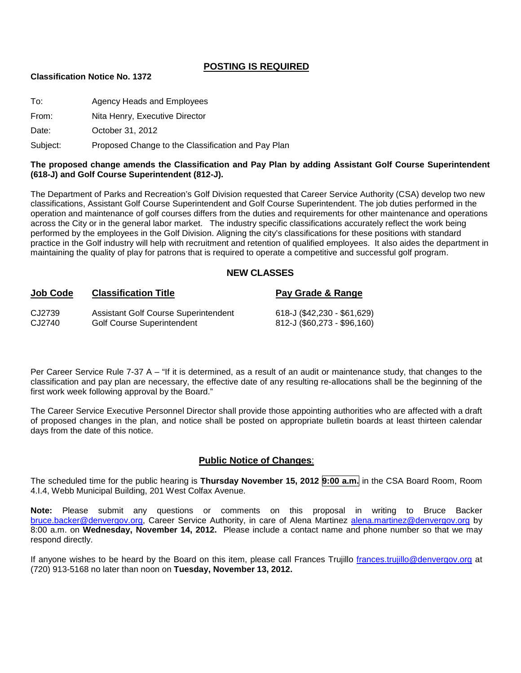#### **POSTING IS REQUIRED**

#### **Classification Notice No. 1372**

| To:   | Agency Heads and Employees     |
|-------|--------------------------------|
| From: | Nita Henry, Executive Director |

Date: **October 31, 2012** 

Subject: Proposed Change to the Classification and Pay Plan

#### **The proposed change amends the Classification and Pay Plan by adding Assistant Golf Course Superintendent (618-J) and Golf Course Superintendent (812-J).**

The Department of Parks and Recreation's Golf Division requested that Career Service Authority (CSA) develop two new classifications, Assistant Golf Course Superintendent and Golf Course Superintendent. The job duties performed in the operation and maintenance of golf courses differs from the duties and requirements for other maintenance and operations across the City or in the general labor market. The industry specific classifications accurately reflect the work being performed by the employees in the Golf Division. Aligning the city's classifications for these positions with standard practice in the Golf industry will help with recruitment and retention of qualified employees. It also aides the department in maintaining the quality of play for patrons that is required to operate a competitive and successful golf program.

#### **NEW CLASSES**

| <b>Job Code</b> | <b>Classification Title</b>                 | Pay Grade & Range           |
|-----------------|---------------------------------------------|-----------------------------|
| CJ2739          | <b>Assistant Golf Course Superintendent</b> | 618-J (\$42,230 - \$61,629) |
| CJ2740          | <b>Golf Course Superintendent</b>           | 812-J (\$60,273 - \$96,160) |

Per Career Service Rule 7-37 A – "If it is determined, as a result of an audit or maintenance study, that changes to the classification and pay plan are necessary, the effective date of any resulting re-allocations shall be the beginning of the first work week following approval by the Board."

The Career Service Executive Personnel Director shall provide those appointing authorities who are affected with a draft of proposed changes in the plan, and notice shall be posted on appropriate bulletin boards at least thirteen calendar days from the date of this notice.

#### **Public Notice of Changes**:

The scheduled time for the public hearing is **Thursday November 15, 2012 9:00 a.m.** in the CSA Board Room, Room 4.I.4, Webb Municipal Building, 201 West Colfax Avenue.

**Note:** Please submit any questions or comments on this proposal in writing to Bruce Backer [bruce.backer@denvergov.org,](mailto:bruce.backer@denvergov.org) Career Service Authority, in care of Alena Martinez [alena.martinez@denvergov.org](mailto:alena.martinez@denvergov.org) by 8:00 a.m. on **Wednesday, November 14, 2012.** Please include a contact name and phone number so that we may respond directly.

If anyone wishes to be heard by the Board on this item, please call Frances Trujillo [frances.trujillo@denvergov.org](mailto:frances.trujillo@denvergov.org) at (720) 913-5168 no later than noon on **Tuesday, November 13, 2012.**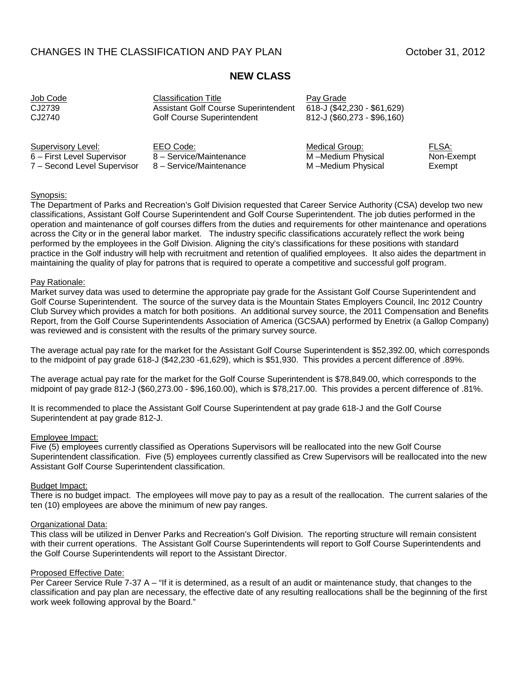#### CHANGES IN THE CLASSIFICATION AND PAY PLAN CHANGES IN THE CLASSIFICATION AND PAY PLAN

# **NEW CLASS**

| Job Code                    | <b>Classification Title</b>                 | Pay Grade                   |            |
|-----------------------------|---------------------------------------------|-----------------------------|------------|
| CJ2739                      | <b>Assistant Golf Course Superintendent</b> | 618-J (\$42,230 - \$61,629) |            |
| CJ2740                      | <b>Golf Course Superintendent</b>           | 812-J (\$60,273 - \$96,160) |            |
| Supervisory Level:          | EEO Code:                                   | Medical Group:              | FLSA:      |
| 6 - First Level Supervisor  | 8 - Service/Maintenance                     | M-Medium Physical           | Non-Exempt |
| 7 - Second Level Supervisor | 8 - Service/Maintenance                     | M-Medium Physical           | Exempt     |

#### Synopsis:

The Department of Parks and Recreation's Golf Division requested that Career Service Authority (CSA) develop two new classifications, Assistant Golf Course Superintendent and Golf Course Superintendent. The job duties performed in the operation and maintenance of golf courses differs from the duties and requirements for other maintenance and operations across the City or in the general labor market. The industry specific classifications accurately reflect the work being performed by the employees in the Golf Division. Aligning the city's classifications for these positions with standard practice in the Golf industry will help with recruitment and retention of qualified employees. It also aides the department in maintaining the quality of play for patrons that is required to operate a competitive and successful golf program.

#### Pay Rationale:

Market survey data was used to determine the appropriate pay grade for the Assistant Golf Course Superintendent and Golf Course Superintendent. The source of the survey data is the Mountain States Employers Council, Inc 2012 Country Club Survey which provides a match for both positions. An additional survey source, the 2011 Compensation and Benefits Report, from the Golf Course Superintendents Association of America (GCSAA) performed by Enetrix (a Gallop Company) was reviewed and is consistent with the results of the primary survey source.

The average actual pay rate for the market for the Assistant Golf Course Superintendent is \$52,392.00, which corresponds to the midpoint of pay grade 618-J (\$42,230 -61,629), which is \$51,930. This provides a percent difference of .89%.

The average actual pay rate for the market for the Golf Course Superintendent is \$78,849.00, which corresponds to the midpoint of pay grade 812-J (\$60,273.00 - \$96,160.00), which is \$78,217.00. This provides a percent difference of .81%.

It is recommended to place the Assistant Golf Course Superintendent at pay grade 618-J and the Golf Course Superintendent at pay grade 812-J.

#### Employee Impact:

Five (5) employees currently classified as Operations Supervisors will be reallocated into the new Golf Course Superintendent classification. Five (5) employees currently classified as Crew Supervisors will be reallocated into the new Assistant Golf Course Superintendent classification.

#### Budget Impact:

There is no budget impact. The employees will move pay to pay as a result of the reallocation. The current salaries of the ten (10) employees are above the minimum of new pay ranges.

#### Organizational Data:

This class will be utilized in Denver Parks and Recreation's Golf Division. The reporting structure will remain consistent with their current operations. The Assistant Golf Course Superintendents will report to Golf Course Superintendents and the Golf Course Superintendents will report to the Assistant Director.

#### Proposed Effective Date:

Per Career Service Rule 7-37 A – "If it is determined, as a result of an audit or maintenance study, that changes to the classification and pay plan are necessary, the effective date of any resulting reallocations shall be the beginning of the first work week following approval by the Board."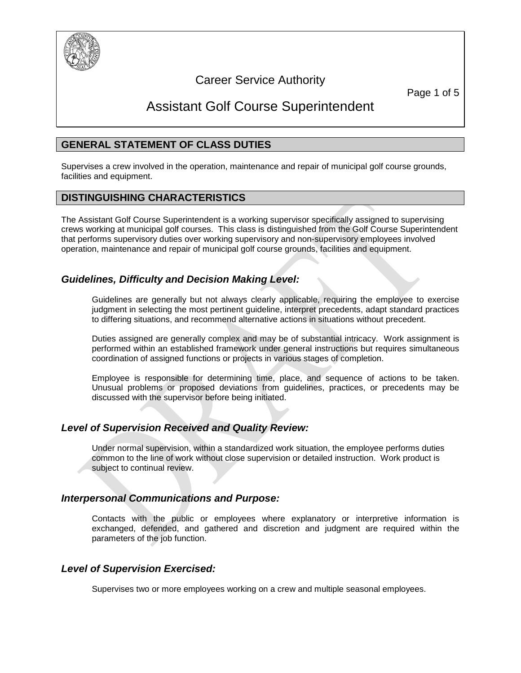

# Career Service Authority

Page 1 of 5

# Assistant Golf Course Superintendent

#### **GENERAL STATEMENT OF CLASS DUTIES**

Supervises a crew involved in the operation, maintenance and repair of municipal golf course grounds, facilities and equipment.

#### **DISTINGUISHING CHARACTERISTICS**

The Assistant Golf Course Superintendent is a working supervisor specifically assigned to supervising crews working at municipal golf courses. This class is distinguished from the Golf Course Superintendent that performs supervisory duties over working supervisory and non-supervisory employees involved operation, maintenance and repair of municipal golf course grounds, facilities and equipment.

# *Guidelines, Difficulty and Decision Making Level:*

Guidelines are generally but not always clearly applicable, requiring the employee to exercise judgment in selecting the most pertinent guideline, interpret precedents, adapt standard practices to differing situations, and recommend alternative actions in situations without precedent.

Duties assigned are generally complex and may be of substantial intricacy. Work assignment is performed within an established framework under general instructions but requires simultaneous coordination of assigned functions or projects in various stages of completion.

Employee is responsible for determining time, place, and sequence of actions to be taken. Unusual problems or proposed deviations from guidelines, practices, or precedents may be discussed with the supervisor before being initiated.

#### *Level of Supervision Received and Quality Review:*

Under normal supervision, within a standardized work situation, the employee performs duties common to the line of work without close supervision or detailed instruction. Work product is subject to continual review.

#### *Interpersonal Communications and Purpose:*

Contacts with the public or employees where explanatory or interpretive information is exchanged, defended, and gathered and discretion and judgment are required within the parameters of the job function.

#### *Level of Supervision Exercised:*

Supervises two or more employees working on a crew and multiple seasonal employees.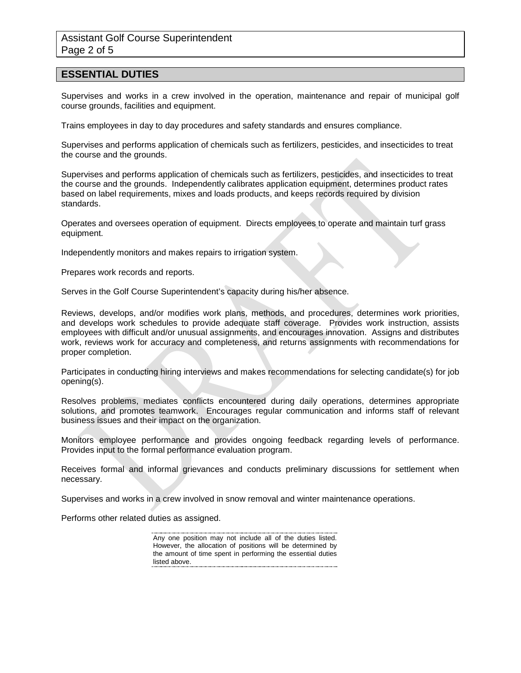#### **ESSENTIAL DUTIES**

Supervises and works in a crew involved in the operation, maintenance and repair of municipal golf course grounds, facilities and equipment.

Trains employees in day to day procedures and safety standards and ensures compliance.

Supervises and performs application of chemicals such as fertilizers, pesticides, and insecticides to treat the course and the grounds.

Supervises and performs application of chemicals such as fertilizers, pesticides, and insecticides to treat the course and the grounds. Independently calibrates application equipment, determines product rates based on label requirements, mixes and loads products, and keeps records required by division standards.

Operates and oversees operation of equipment. Directs employees to operate and maintain turf grass equipment.

Independently monitors and makes repairs to irrigation system.

Prepares work records and reports.

Serves in the Golf Course Superintendent's capacity during his/her absence.

Reviews, develops, and/or modifies work plans, methods, and procedures, determines work priorities, and develops work schedules to provide adequate staff coverage. Provides work instruction, assists employees with difficult and/or unusual assignments, and encourages innovation. Assigns and distributes work, reviews work for accuracy and completeness, and returns assignments with recommendations for proper completion.

Participates in conducting hiring interviews and makes recommendations for selecting candidate(s) for job opening(s).

Resolves problems, mediates conflicts encountered during daily operations, determines appropriate solutions, and promotes teamwork. Encourages regular communication and informs staff of relevant business issues and their impact on the organization.

Monitors employee performance and provides ongoing feedback regarding levels of performance. Provides input to the formal performance evaluation program.

Receives formal and informal grievances and conducts preliminary discussions for settlement when necessary.

Supervises and works in a crew involved in snow removal and winter maintenance operations.

Performs other related duties as assigned.

Any one position may not include all of the duties listed. However, the allocation of positions will be determined by the amount of time spent in performing the essential duties listed above.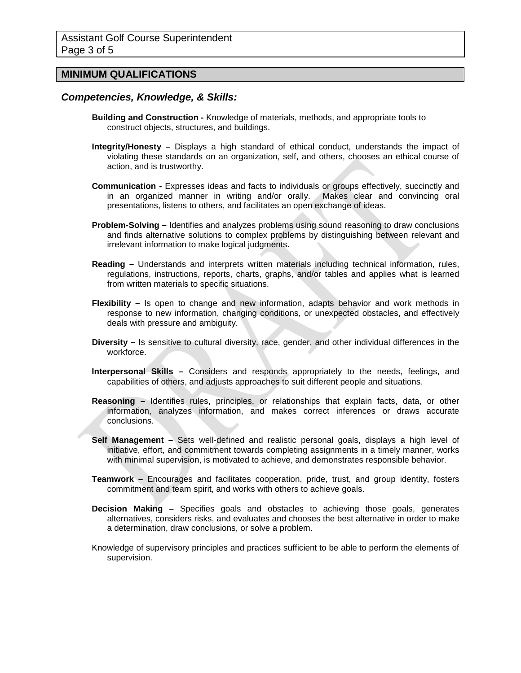#### **MINIMUM QUALIFICATIONS**

#### *Competencies, Knowledge, & Skills:*

- **Building and Construction -** Knowledge of materials, methods, and appropriate tools to construct objects, structures, and buildings.
- **Integrity/Honesty –** Displays a high standard of ethical conduct, understands the impact of violating these standards on an organization, self, and others, chooses an ethical course of action, and is trustworthy.
- **Communication -** Expresses ideas and facts to individuals or groups effectively, succinctly and in an organized manner in writing and/or orally. Makes clear and convincing oral presentations, listens to others, and facilitates an open exchange of ideas.
- **Problem-Solving –** Identifies and analyzes problems using sound reasoning to draw conclusions and finds alternative solutions to complex problems by distinguishing between relevant and irrelevant information to make logical judgments.
- **Reading –** Understands and interprets written materials including technical information, rules, regulations, instructions, reports, charts, graphs, and/or tables and applies what is learned from written materials to specific situations.
- **Flexibility –** Is open to change and new information, adapts behavior and work methods in response to new information, changing conditions, or unexpected obstacles, and effectively deals with pressure and ambiguity.
- **Diversity –** Is sensitive to cultural diversity, race, gender, and other individual differences in the workforce.
- **Interpersonal Skills –** Considers and responds appropriately to the needs, feelings, and capabilities of others, and adjusts approaches to suit different people and situations.
- **Reasoning –** Identifies rules, principles, or relationships that explain facts, data, or other information, analyzes information, and makes correct inferences or draws accurate conclusions.
- **Self Management –** Sets well-defined and realistic personal goals, displays a high level of initiative, effort, and commitment towards completing assignments in a timely manner, works with minimal supervision, is motivated to achieve, and demonstrates responsible behavior.
- **Teamwork –** Encourages and facilitates cooperation, pride, trust, and group identity, fosters commitment and team spirit, and works with others to achieve goals.
- **Decision Making –** Specifies goals and obstacles to achieving those goals, generates alternatives, considers risks, and evaluates and chooses the best alternative in order to make a determination, draw conclusions, or solve a problem.
- Knowledge of supervisory principles and practices sufficient to be able to perform the elements of supervision.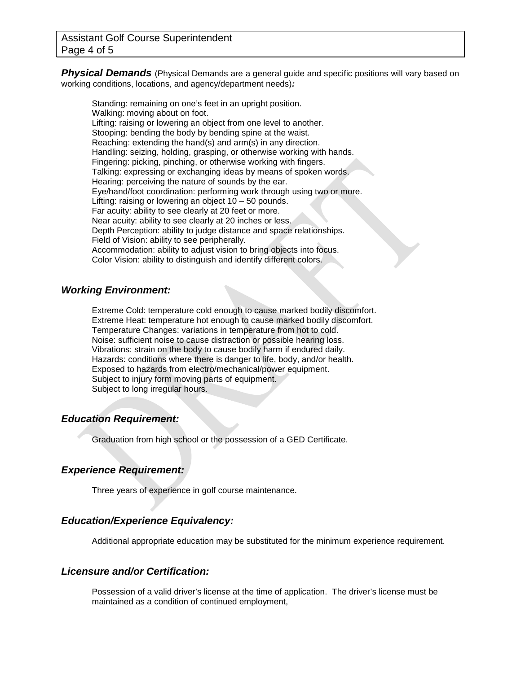**Physical Demands** (Physical Demands are a general guide and specific positions will vary based on working conditions, locations, and agency/department needs)*:*

Standing: remaining on one's feet in an upright position. Walking: moving about on foot. Lifting: raising or lowering an object from one level to another. Stooping: bending the body by bending spine at the waist. Reaching: extending the hand(s) and arm(s) in any direction. Handling: seizing, holding, grasping, or otherwise working with hands. Fingering: picking, pinching, or otherwise working with fingers. Talking: expressing or exchanging ideas by means of spoken words. Hearing: perceiving the nature of sounds by the ear. Eye/hand/foot coordination: performing work through using two or more. Lifting: raising or lowering an object  $10 - 50$  pounds. Far acuity: ability to see clearly at 20 feet or more. Near acuity: ability to see clearly at 20 inches or less. Depth Perception: ability to judge distance and space relationships. Field of Vision: ability to see peripherally. Accommodation: ability to adjust vision to bring objects into focus. Color Vision: ability to distinguish and identify different colors.

#### *Working Environment:*

Extreme Cold: temperature cold enough to cause marked bodily discomfort. Extreme Heat: temperature hot enough to cause marked bodily discomfort. Temperature Changes: variations in temperature from hot to cold. Noise: sufficient noise to cause distraction or possible hearing loss. Vibrations: strain on the body to cause bodily harm if endured daily. Hazards: conditions where there is danger to life, body, and/or health. Exposed to hazards from electro/mechanical/power equipment. Subject to injury form moving parts of equipment. Subject to long irregular hours.

#### *Education Requirement:*

Graduation from high school or the possession of a GED Certificate.

#### *Experience Requirement:*

Three years of experience in golf course maintenance.

#### *Education/Experience Equivalency:*

Additional appropriate education may be substituted for the minimum experience requirement.

#### *Licensure and/or Certification:*

Possession of a valid driver's license at the time of application. The driver's license must be maintained as a condition of continued employment,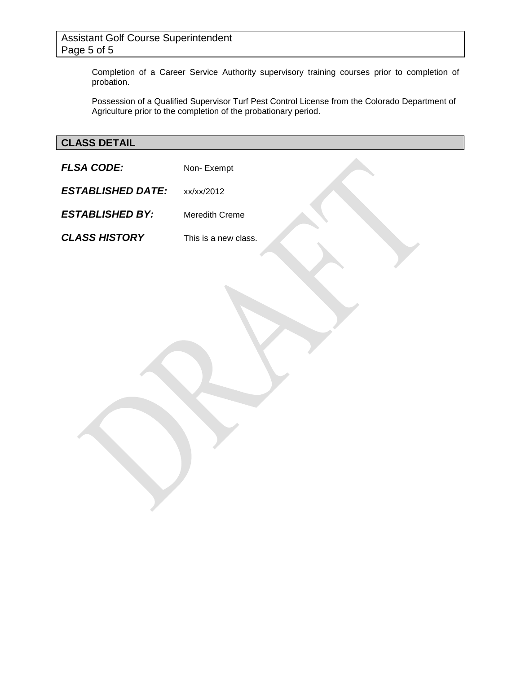# Assistant Golf Course Superintendent Page 5 of 5

Completion of a Career Service Authority supervisory training courses prior to completion of probation.

Possession of a Qualified Supervisor Turf Pest Control License from the Colorado Department of Agriculture prior to the completion of the probationary period.

# **CLASS DETAIL**

**FLSA CODE:** Non- Exempt *ESTABLISHED DATE:* xx/xx/2012 *ESTABLISHED BY:* Meredith Creme *CLASS HISTORY* This is a new class.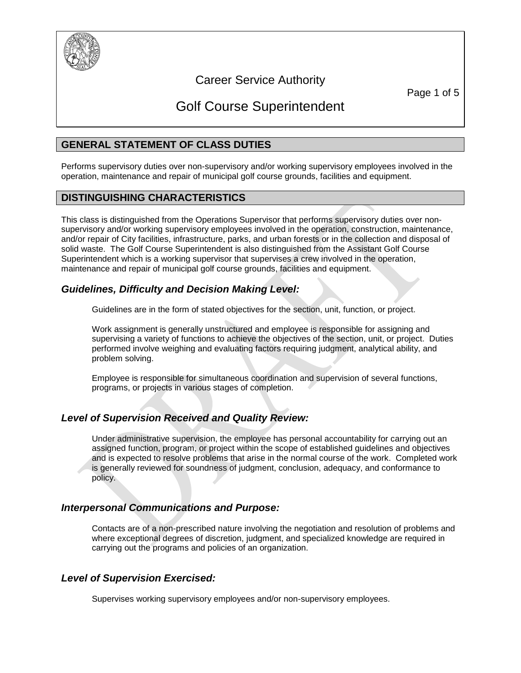

# Career Service Authority

Page 1 of 5

# Golf Course Superintendent

# **GENERAL STATEMENT OF CLASS DUTIES**

Performs supervisory duties over non-supervisory and/or working supervisory employees involved in the operation, maintenance and repair of municipal golf course grounds, facilities and equipment.

#### **DISTINGUISHING CHARACTERISTICS**

This class is distinguished from the Operations Supervisor that performs supervisory duties over nonsupervisory and/or working supervisory employees involved in the operation, construction, maintenance, and/or repair of City facilities, infrastructure, parks, and urban forests or in the collection and disposal of solid waste.The Golf Course Superintendent is also distinguished from the Assistant Golf Course Superintendent which is a working supervisor that supervises a crew involved in the operation, maintenance and repair of municipal golf course grounds, facilities and equipment.

# *Guidelines, Difficulty and Decision Making Level:*

Guidelines are in the form of stated objectives for the section, unit, function, or project.

Work assignment is generally unstructured and employee is responsible for assigning and supervising a variety of functions to achieve the objectives of the section, unit, or project. Duties performed involve weighing and evaluating factors requiring judgment, analytical ability, and problem solving.

Employee is responsible for simultaneous coordination and supervision of several functions, programs, or projects in various stages of completion.

# *Level of Supervision Received and Quality Review:*

Under administrative supervision, the employee has personal accountability for carrying out an assigned function, program, or project within the scope of established guidelines and objectives and is expected to resolve problems that arise in the normal course of the work. Completed work is generally reviewed for soundness of judgment, conclusion, adequacy, and conformance to policy.

#### *Interpersonal Communications and Purpose:*

Contacts are of a non-prescribed nature involving the negotiation and resolution of problems and where exceptional degrees of discretion, judgment, and specialized knowledge are required in carrying out the programs and policies of an organization.

# *Level of Supervision Exercised:*

Supervises working supervisory employees and/or non-supervisory employees.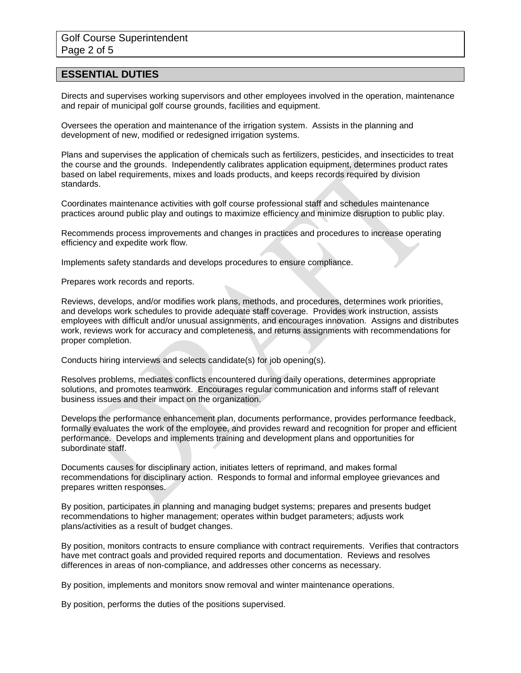#### **ESSENTIAL DUTIES**

Directs and supervises working supervisors and other employees involved in the operation, maintenance and repair of municipal golf course grounds, facilities and equipment.

Oversees the operation and maintenance of the irrigation system. Assists in the planning and development of new, modified or redesigned irrigation systems.

Plans and supervises the application of chemicals such as fertilizers, pesticides, and insecticides to treat the course and the grounds. Independently calibrates application equipment, determines product rates based on label requirements, mixes and loads products, and keeps records required by division standards.

Coordinates maintenance activities with golf course professional staff and schedules maintenance practices around public play and outings to maximize efficiency and minimize disruption to public play.

Recommends process improvements and changes in practices and procedures to increase operating efficiency and expedite work flow.

Implements safety standards and develops procedures to ensure compliance.

Prepares work records and reports.

Reviews, develops, and/or modifies work plans, methods, and procedures, determines work priorities, and develops work schedules to provide adequate staff coverage. Provides work instruction, assists employees with difficult and/or unusual assignments, and encourages innovation. Assigns and distributes work, reviews work for accuracy and completeness, and returns assignments with recommendations for proper completion.

Conducts hiring interviews and selects candidate(s) for job opening(s).

Resolves problems, mediates conflicts encountered during daily operations, determines appropriate solutions, and promotes teamwork. Encourages regular communication and informs staff of relevant business issues and their impact on the organization.

Develops the performance enhancement plan, documents performance, provides performance feedback, formally evaluates the work of the employee, and provides reward and recognition for proper and efficient performance. Develops and implements training and development plans and opportunities for subordinate staff.

Documents causes for disciplinary action, initiates letters of reprimand, and makes formal recommendations for disciplinary action. Responds to formal and informal employee grievances and prepares written responses.

By position, participates in planning and managing budget systems; prepares and presents budget recommendations to higher management; operates within budget parameters; adjusts work plans/activities as a result of budget changes.

By position, monitors contracts to ensure compliance with contract requirements. Verifies that contractors have met contract goals and provided required reports and documentation. Reviews and resolves differences in areas of non-compliance, and addresses other concerns as necessary.

By position, implements and monitors snow removal and winter maintenance operations.

By position, performs the duties of the positions supervised.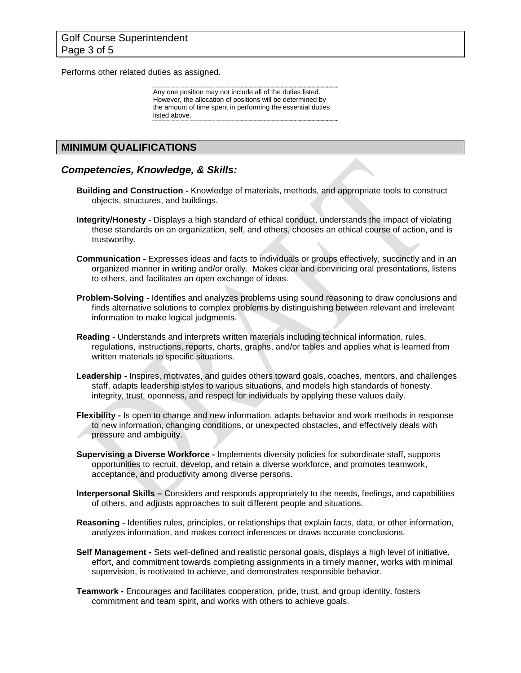Performs other related duties as assigned.

Any one position may not include all of the duties listed. However, the allocation of positions will be determined by the amount of time spent in performing the essential duties listed above.

#### **MINIMUM QUALIFICATIONS**

#### *Competencies, Knowledge, & Skills:*

- **Building and Construction -** Knowledge of materials, methods, and appropriate tools to construct objects, structures, and buildings.
- **Integrity/Honesty -** Displays a high standard of ethical conduct, understands the impact of violating these standards on an organization, self, and others, chooses an ethical course of action, and is trustworthy.
- **Communication -** Expresses ideas and facts to individuals or groups effectively, succinctly and in an organized manner in writing and/or orally. Makes clear and convincing oral presentations, listens to others, and facilitates an open exchange of ideas.
- **Problem-Solving -** Identifies and analyzes problems using sound reasoning to draw conclusions and finds alternative solutions to complex problems by distinguishing between relevant and irrelevant information to make logical judgments.
- **Reading -** Understands and interprets written materials including technical information, rules, regulations, instructions, reports, charts, graphs, and/or tables and applies what is learned from written materials to specific situations.
- **Leadership -** Inspires, motivates, and guides others toward goals, coaches, mentors, and challenges staff, adapts leadership styles to various situations, and models high standards of honesty, integrity, trust, openness, and respect for individuals by applying these values daily.
- **Flexibility -** Is open to change and new information, adapts behavior and work methods in response to new information, changing conditions, or unexpected obstacles, and effectively deals with pressure and ambiguity.
- **Supervising a Diverse Workforce -** Implements diversity policies for subordinate staff, supports opportunities to recruit, develop, and retain a diverse workforce, and promotes teamwork, acceptance, and productivity among diverse persons.
- **Interpersonal Skills –** Considers and responds appropriately to the needs, feelings, and capabilities of others, and adjusts approaches to suit different people and situations.
- **Reasoning -** Identifies rules, principles, or relationships that explain facts, data, or other information, analyzes information, and makes correct inferences or draws accurate conclusions.
- **Self Management -** Sets well-defined and realistic personal goals, displays a high level of initiative, effort, and commitment towards completing assignments in a timely manner, works with minimal supervision, is motivated to achieve, and demonstrates responsible behavior.
- **Teamwork -** Encourages and facilitates cooperation, pride, trust, and group identity, fosters commitment and team spirit, and works with others to achieve goals.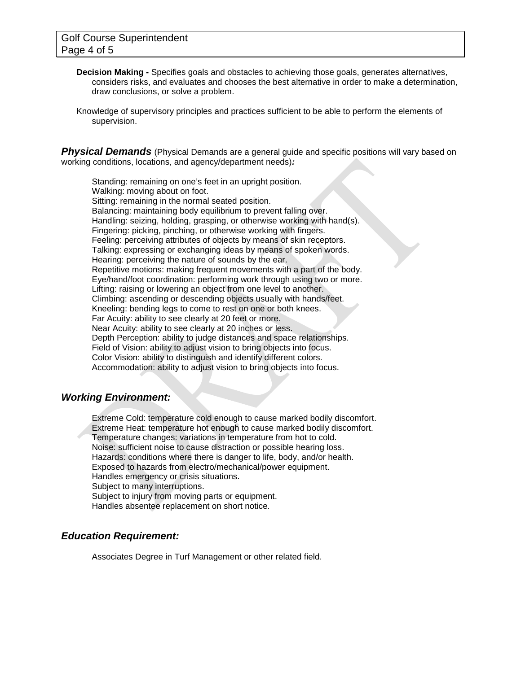- **Decision Making -** Specifies goals and obstacles to achieving those goals, generates alternatives, considers risks, and evaluates and chooses the best alternative in order to make a determination, draw conclusions, or solve a problem.
- Knowledge of supervisory principles and practices sufficient to be able to perform the elements of supervision.

**Physical Demands** (Physical Demands are a general guide and specific positions will vary based on working conditions, locations, and agency/department needs)*:*

Standing: remaining on one's feet in an upright position. Walking: moving about on foot. Sitting: remaining in the normal seated position. Balancing: maintaining body equilibrium to prevent falling over. Handling: seizing, holding, grasping, or otherwise working with hand(s). Fingering: picking, pinching, or otherwise working with fingers. Feeling: perceiving attributes of objects by means of skin receptors. Talking: expressing or exchanging ideas by means of spoken words. Hearing: perceiving the nature of sounds by the ear. Repetitive motions: making frequent movements with a part of the body. Eye/hand/foot coordination: performing work through using two or more. Lifting: raising or lowering an object from one level to another. Climbing: ascending or descending objects usually with hands/feet. Kneeling: bending legs to come to rest on one or both knees. Far Acuity: ability to see clearly at 20 feet or more. Near Acuity: ability to see clearly at 20 inches or less. Depth Perception: ability to judge distances and space relationships. Field of Vision: ability to adjust vision to bring objects into focus. Color Vision: ability to distinguish and identify different colors. Accommodation: ability to adjust vision to bring objects into focus.

#### *Working Environment:*

Extreme Cold: temperature cold enough to cause marked bodily discomfort. Extreme Heat: temperature hot enough to cause marked bodily discomfort. Temperature changes: variations in temperature from hot to cold. Noise: sufficient noise to cause distraction or possible hearing loss. Hazards: conditions where there is danger to life, body, and/or health. Exposed to hazards from electro/mechanical/power equipment. Handles emergency or crisis situations. Subject to many interruptions. Subject to injury from moving parts or equipment. Handles absentee replacement on short notice.

#### *Education Requirement:*

Associates Degree in Turf Management or other related field.